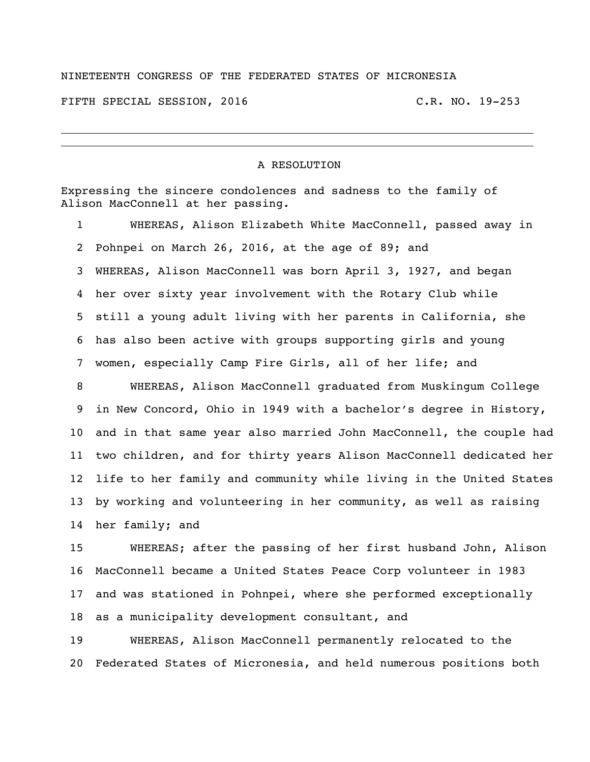## NINETEENTH CONGRESS OF THE FEDERATED STATES OF MICRONESIA

FIFTH SPECIAL SESSION, 2016 C.R. NO. 19-253

## A RESOLUTION

Expressing the sincere condolences and sadness to the family of Alison MacConnell at her passing.

 WHEREAS, Alison Elizabeth White MacConnell, passed away in Pohnpei on March 26, 2016, at the age of 89; and WHEREAS, Alison MacConnell was born April 3, 1927, and began her over sixty year involvement with the Rotary Club while still a young adult living with her parents in California, she has also been active with groups supporting girls and young women, especially Camp Fire Girls, all of her life; and

 WHEREAS, Alison MacConnell graduated from Muskingum College in New Concord, Ohio in 1949 with a bachelor's degree in History, and in that same year also married John MacConnell, the couple had two children, and for thirty years Alison MacConnell dedicated her life to her family and community while living in the United States by working and volunteering in her community, as well as raising her family; and

 WHEREAS; after the passing of her first husband John, Alison MacConnell became a United States Peace Corp volunteer in 1983 and was stationed in Pohnpei, where she performed exceptionally as a municipality development consultant, and

 WHEREAS, Alison MacConnell permanently relocated to the Federated States of Micronesia, and held numerous positions both